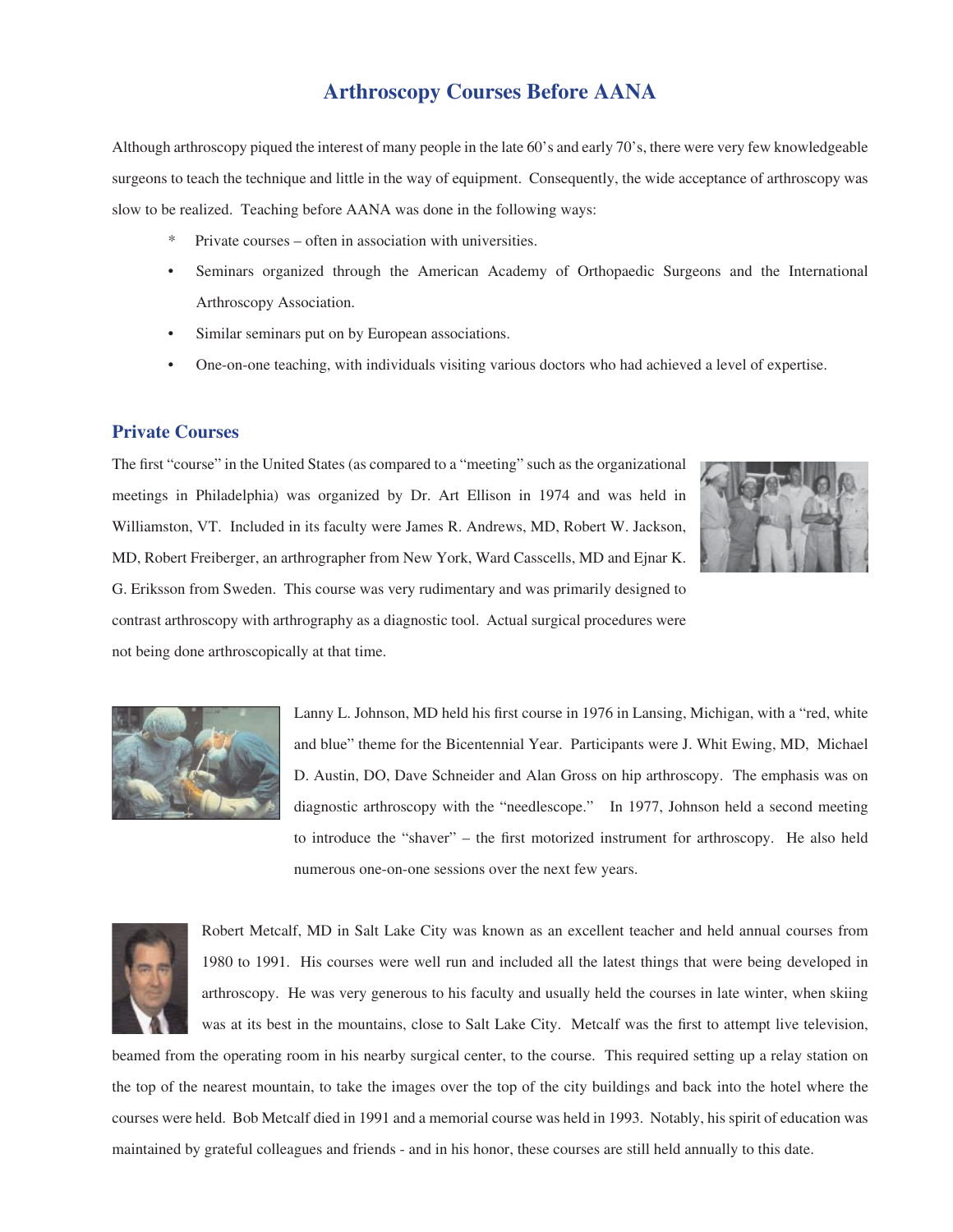## **Arthroscopy Courses Before AANA**

Although arthroscopy piqued the interest of many people in the late 60's and early 70's, there were very few knowledgeable surgeons to teach the technique and little in the way of equipment. Consequently, the wide acceptance of arthroscopy was slow to be realized. Teaching before AANA was done in the following ways:

- \* Private courses often in association with universities.
- Seminars organized through the American Academy of Orthopaedic Surgeons and the International Arthroscopy Association.
- Similar seminars put on by European associations.
- One-on-one teaching, with individuals visiting various doctors who had achieved a level of expertise.

## **Private Courses**

The first "course" in the United States (as compared to a "meeting" such as the organizational meetings in Philadelphia) was organized by Dr. Art Ellison in 1974 and was held in Williamston, VT. Included in its faculty were James R. Andrews, MD, Robert W. Jackson, MD, Robert Freiberger, an arthrographer from New York, Ward Casscells, MD and Ejnar K. G. Eriksson from Sweden. This course was very rudimentary and was primarily designed to contrast arthroscopy with arthrography as a diagnostic tool. Actual surgical procedures were not being done arthroscopically at that time.





Lanny L. Johnson, MD held his first course in 1976 in Lansing, Michigan, with a "red, white and blue" theme for the Bicentennial Year. Participants were J. Whit Ewing, MD, Michael D. Austin, DO, Dave Schneider and Alan Gross on hip arthroscopy. The emphasis was on diagnostic arthroscopy with the "needlescope." In 1977, Johnson held a second meeting to introduce the "shaver" – the first motorized instrument for arthroscopy. He also held numerous one-on-one sessions over the next few years.



Robert Metcalf, MD in Salt Lake City was known as an excellent teacher and held annual courses from 1980 to 1991. His courses were well run and included all the latest things that were being developed in arthroscopy. He was very generous to his faculty and usually held the courses in late winter, when skiing was at its best in the mountains, close to Salt Lake City. Metcalf was the first to attempt live television,

beamed from the operating room in his nearby surgical center, to the course. This required setting up a relay station on the top of the nearest mountain, to take the images over the top of the city buildings and back into the hotel where the courses were held. Bob Metcalf died in 1991 and a memorial course was held in 1993. Notably, his spirit of education was maintained by grateful colleagues and friends - and in his honor, these courses are still held annually to this date.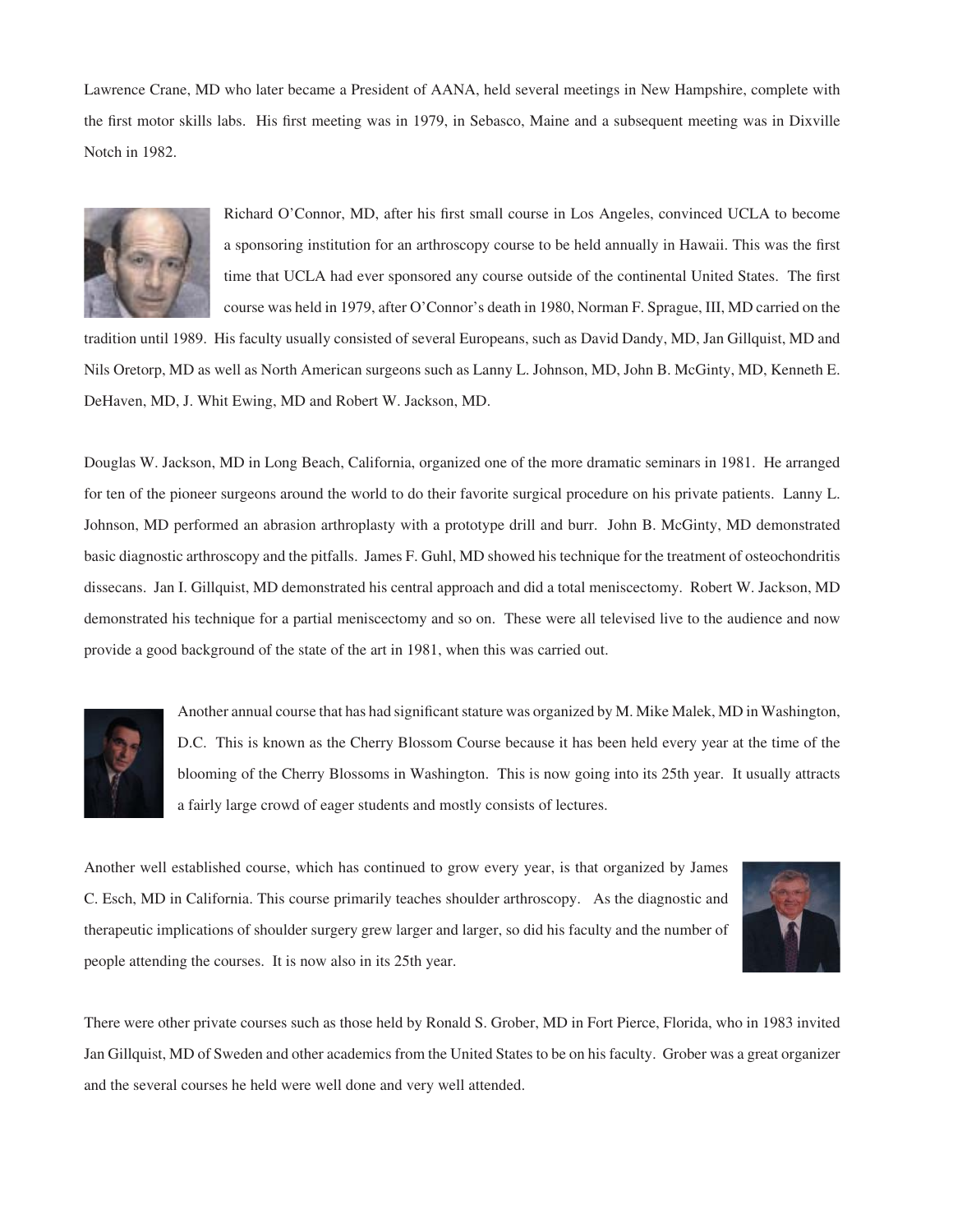Lawrence Crane, MD who later became a President of AANA, held several meetings in New Hampshire, complete with the first motor skills labs. His first meeting was in 1979, in Sebasco, Maine and a subsequent meeting was in Dixville Notch in 1982.



Richard O'Connor, MD, after his first small course in Los Angeles, convinced UCLA to become a sponsoring institution for an arthroscopy course to be held annually in Hawaii. This was the first time that UCLA had ever sponsored any course outside of the continental United States. The first course was held in 1979, after O'Connor's death in 1980, Norman F. Sprague, III, MD carried on the

tradition until 1989. His faculty usually consisted of several Europeans, such as David Dandy, MD, Jan Gillquist, MD and Nils Oretorp, MD as well as North American surgeons such as Lanny L. Johnson, MD, John B. McGinty, MD, Kenneth E. DeHaven, MD, J. Whit Ewing, MD and Robert W. Jackson, MD.

Douglas W. Jackson, MD in Long Beach, California, organized one of the more dramatic seminars in 1981. He arranged for ten of the pioneer surgeons around the world to do their favorite surgical procedure on his private patients. Lanny L. Johnson, MD performed an abrasion arthroplasty with a prototype drill and burr. John B. McGinty, MD demonstrated basic diagnostic arthroscopy and the pitfalls. James F. Guhl, MD showed his technique for the treatment of osteochondritis dissecans. Jan I. Gillquist, MD demonstrated his central approach and did a total meniscectomy. Robert W. Jackson, MD demonstrated his technique for a partial meniscectomy and so on. These were all televised live to the audience and now provide a good background of the state of the art in 1981, when this was carried out.



Another annual course that has had significant stature was organized by M. Mike Malek, MD in Washington, D.C. This is known as the Cherry Blossom Course because it has been held every year at the time of the blooming of the Cherry Blossoms in Washington. This is now going into its 25th year. It usually attracts a fairly large crowd of eager students and mostly consists of lectures.

Another well established course, which has continued to grow every year, is that organized by James C. Esch, MD in California. This course primarily teaches shoulder arthroscopy. As the diagnostic and therapeutic implications of shoulder surgery grew larger and larger, so did his faculty and the number of people attending the courses. It is now also in its 25th year.



There were other private courses such as those held by Ronald S. Grober, MD in Fort Pierce, Florida, who in 1983 invited Jan Gillquist, MD of Sweden and other academics from the United States to be on his faculty. Grober was a great organizer and the several courses he held were well done and very well attended.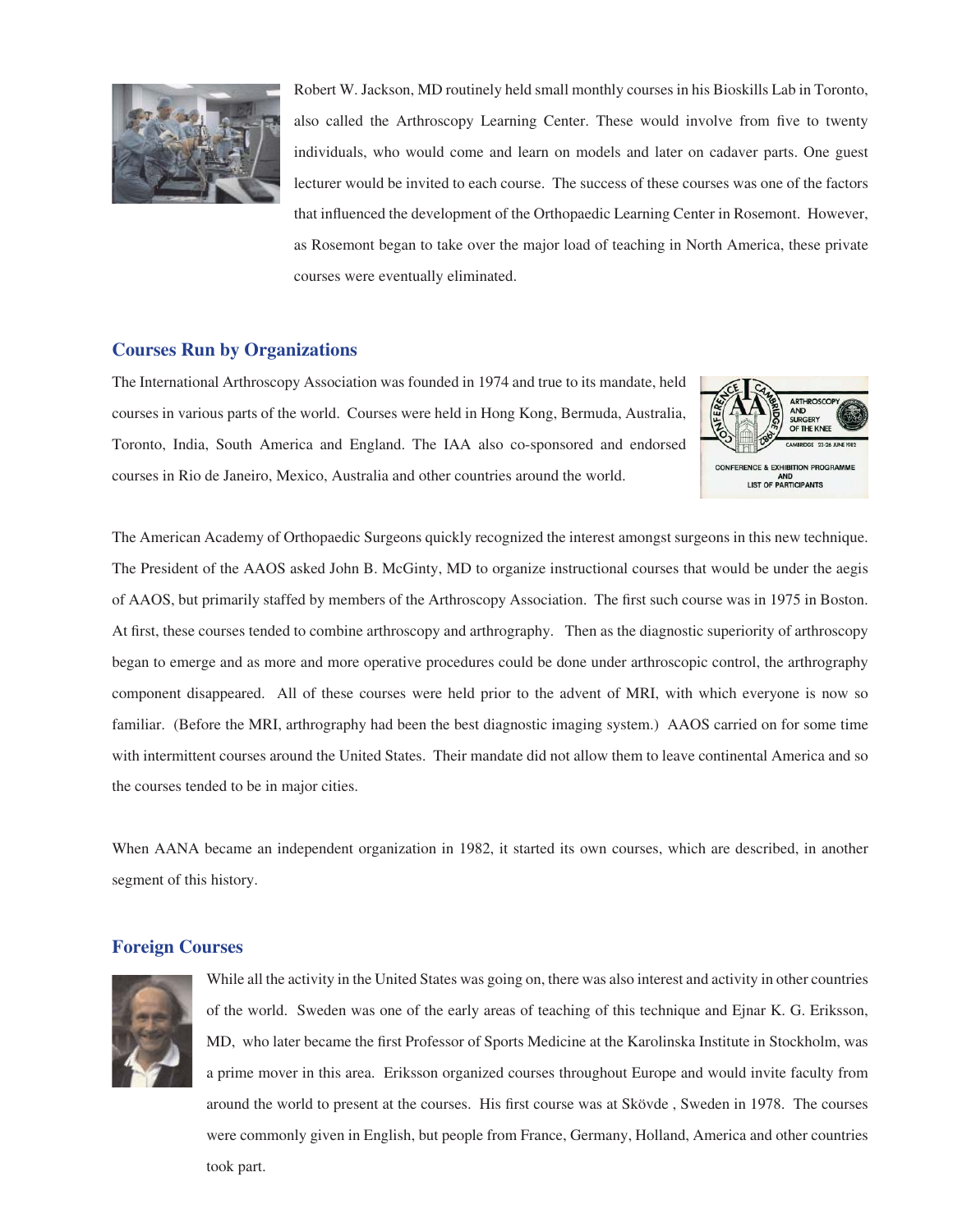

Robert W. Jackson, MD routinely held small monthly courses in his Bioskills Lab in Toronto, also called the Arthroscopy Learning Center. These would involve from five to twenty individuals, who would come and learn on models and later on cadaver parts. One guest lecturer would be invited to each course. The success of these courses was one of the factors that influenced the development of the Orthopaedic Learning Center in Rosemont. However, as Rosemont began to take over the major load of teaching in North America, these private courses were eventually eliminated.

## **Courses Run by Organizations**

The International Arthroscopy Association was founded in 1974 and true to its mandate, held courses in various parts of the world. Courses were held in Hong Kong, Bermuda, Australia, Toronto, India, South America and England. The IAA also co-sponsored and endorsed courses in Rio de Janeiro, Mexico, Australia and other countries around the world.



The American Academy of Orthopaedic Surgeons quickly recognized the interest amongst surgeons in this new technique. The President of the AAOS asked John B. McGinty, MD to organize instructional courses that would be under the aegis of AAOS, but primarily staffed by members of the Arthroscopy Association. The first such course was in 1975 in Boston. At first, these courses tended to combine arthroscopy and arthrography. Then as the diagnostic superiority of arthroscopy began to emerge and as more and more operative procedures could be done under arthroscopic control, the arthrography component disappeared. All of these courses were held prior to the advent of MRI, with which everyone is now so familiar. (Before the MRI, arthrography had been the best diagnostic imaging system.) AAOS carried on for some time with intermittent courses around the United States. Their mandate did not allow them to leave continental America and so the courses tended to be in major cities.

When AANA became an independent organization in 1982, it started its own courses, which are described, in another segment of this history.

## **Foreign Courses**



While all the activity in the United States was going on, there was also interest and activity in other countries of the world. Sweden was one of the early areas of teaching of this technique and Ejnar K. G. Eriksson, MD, who later became the first Professor of Sports Medicine at the Karolinska Institute in Stockholm, was a prime mover in this area. Eriksson organized courses throughout Europe and would invite faculty from around the world to present at the courses. His first course was at Skövde, Sweden in 1978. The courses were commonly given in English, but people from France, Germany, Holland, America and other countries took part.